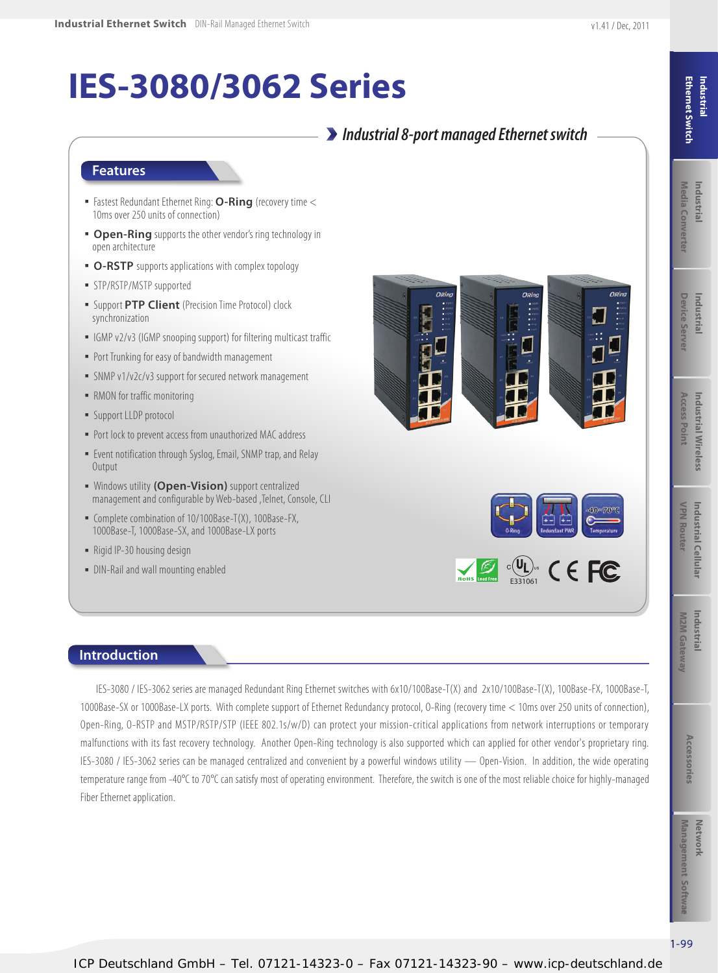# Media Converter **Industrial** Industrial

# **IES-3080/3062 Series**

## *Industrial 8-port managed Ethernet switch*

#### **Features**

- Fastest Redundant Ethernet Ring: **O-Ring** (recovery time < 10ms over 250 units of connection)
- **Open-Ring** supports the other vendor's ring technology in open architecture
- **O-RSTP** supports applications with complex topology
- **· STP/RSTP/MSTP supported**
- Support **PTP Client** (Precision Time Protocol) clock synchronization
- **IGMP v2/v3 (IGMP snooping support) for filtering multicast traffic**
- **Port Trunking for easy of bandwidth management**
- **EXAMP v1/v2c/v3 support for secured network management**
- RMON for traffic monitoring
- **E** Support LLDP protocol
- Port lock to prevent access from unauthorized MAC address
- **Event notification through Syslog, Email, SNMP trap, and Relay Output**
- Windows utility **(Open-Vision)** support centralized management and configurable by Web-based ,Telnet, Console, CLI
- Complete combination of 10/100Base-T(X), 100Base-FX, 1000Base-T, 1000Base-SX, and 1000Base-LX ports
- Rigid IP-30 housing design

**Introduction**

• DIN-Rail and wall mounting enabled







IES-3080 / IES-3062 series are managed Redundant Ring Ethernet switches with 6x10/100Base-T(X) and 2x10/100Base-T(X), 100Base-FX, 1000Base-T, 1000Base-SX or 1000Base-LX ports. With complete support of Ethernet Redundancy protocol, O-Ring (recovery time < 10ms over 250 units of connection), Open-Ring, O-RSTP and MSTP/RSTP/STP (IEEE 802.1s/w/D) can protect your mission-critical applications from network interruptions or temporary malfunctions with its fast recovery technology. Another Open-Ring technology is also supported which can applied for other vendor's proprietary ring. IES-3080 / IES-3062 series can be managed centralized and convenient by a powerful windows utility — Open-Vision. In addition, the wide operating temperature range from -40°C to 70°C can satisfy most of operating environment. Therefore, the switch is one of the most reliable choice for highly-managed Fiber Ethernet application.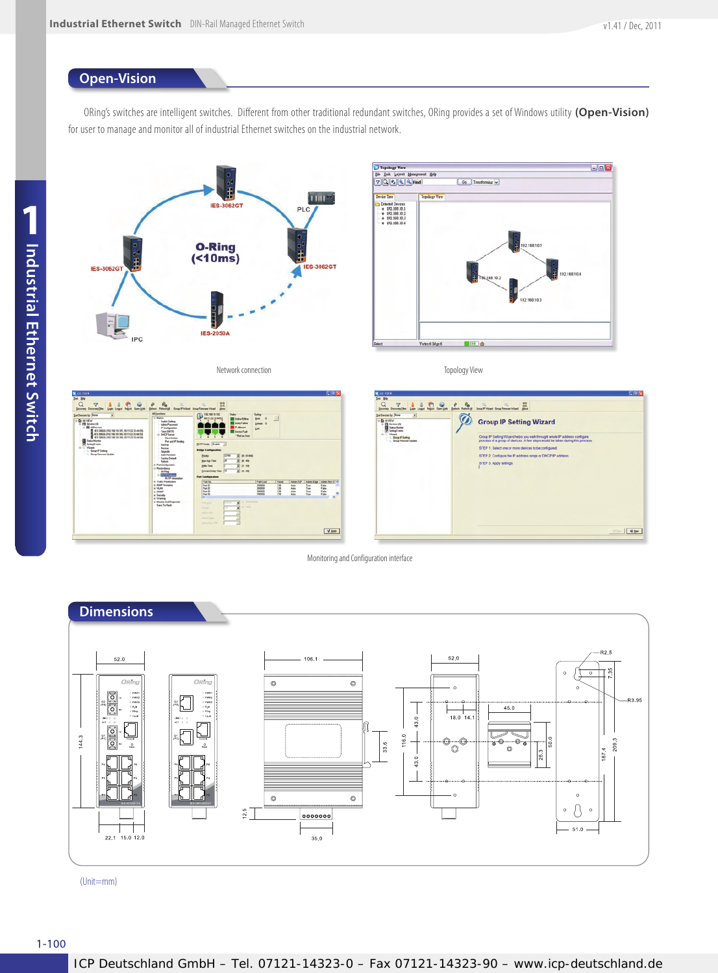#### **Open-Vision**

ORing's switches are intelligent switches. Different from other traditional redundant switches, ORing provides a set of Windows utility **(Open-Vision)** for user to manage and monitor all of industrial Ethernet switches on the industrial network.



Network connection



Topology View



Monitoring and Configuration interface



(Unit=mm)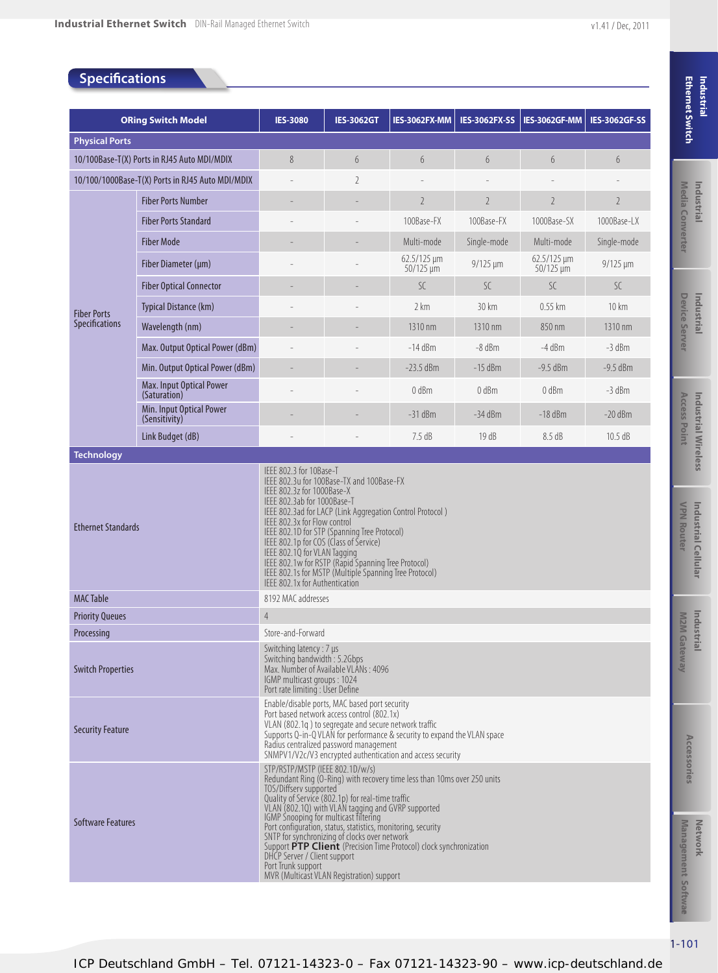### **Specifications**

| <b>ORing Switch Model</b>                   |                                                  | <b>IES-3080</b>                                                                                                                                                                                                                                                                                                                                                                                                                                                                                                                                                                     | <b>IES-3062GT</b> | IES-3062FX-MM                        | <b>IES-3062FX-SS</b> | IES-3062GF-MM                      | <b>IES-3062GF-SS</b> |  |  |
|---------------------------------------------|--------------------------------------------------|-------------------------------------------------------------------------------------------------------------------------------------------------------------------------------------------------------------------------------------------------------------------------------------------------------------------------------------------------------------------------------------------------------------------------------------------------------------------------------------------------------------------------------------------------------------------------------------|-------------------|--------------------------------------|----------------------|------------------------------------|----------------------|--|--|
| <b>Physical Ports</b>                       |                                                  |                                                                                                                                                                                                                                                                                                                                                                                                                                                                                                                                                                                     |                   |                                      |                      |                                    |                      |  |  |
| 10/100Base-T(X) Ports in RJ45 Auto MDI/MDIX |                                                  | 8                                                                                                                                                                                                                                                                                                                                                                                                                                                                                                                                                                                   | 6                 | 6                                    | 6                    | 6                                  | 6                    |  |  |
|                                             | 10/100/1000Base-T(X) Ports in RJ45 Auto MDI/MDIX |                                                                                                                                                                                                                                                                                                                                                                                                                                                                                                                                                                                     | $\overline{2}$    |                                      |                      |                                    |                      |  |  |
|                                             | <b>Fiber Ports Number</b>                        |                                                                                                                                                                                                                                                                                                                                                                                                                                                                                                                                                                                     |                   | $\overline{2}$                       | $\overline{2}$       | $\overline{2}$                     | $\overline{2}$       |  |  |
|                                             | <b>Fiber Ports Standard</b>                      |                                                                                                                                                                                                                                                                                                                                                                                                                                                                                                                                                                                     |                   | 100Base-FX                           | 100Base-FX           | 1000Base-SX                        | 1000Base-LX          |  |  |
|                                             | <b>Fiber Mode</b>                                |                                                                                                                                                                                                                                                                                                                                                                                                                                                                                                                                                                                     |                   | Multi-mode                           | Single-mode          | Multi-mode                         | Single-mode          |  |  |
|                                             | Fiber Diameter (µm)                              |                                                                                                                                                                                                                                                                                                                                                                                                                                                                                                                                                                                     |                   | $62.5/125 \,\mu m$<br>$50/125 \mu m$ | $9/125 \mu m$        | $62.5/125 \mu m$<br>$50/125 \mu m$ | $9/125 \mu m$        |  |  |
|                                             | <b>Fiber Optical Connector</b>                   |                                                                                                                                                                                                                                                                                                                                                                                                                                                                                                                                                                                     |                   | SC                                   | SC.                  | SC.                                | SC.                  |  |  |
| <b>Fiber Ports</b>                          | Typical Distance (km)                            |                                                                                                                                                                                                                                                                                                                                                                                                                                                                                                                                                                                     |                   | 2 km                                 | 30 km                | $0.55$ km                          | $10 \mathrm{km}$     |  |  |
| <b>Specifications</b>                       | Wavelength (nm)                                  |                                                                                                                                                                                                                                                                                                                                                                                                                                                                                                                                                                                     |                   | 1310 nm                              | 1310 nm              | 850 nm                             | 1310 nm              |  |  |
|                                             | Max. Output Optical Power (dBm)                  |                                                                                                                                                                                                                                                                                                                                                                                                                                                                                                                                                                                     |                   | $-14$ dBm                            | $-8$ dBm             | $-4$ dBm                           | $-3$ dBm             |  |  |
|                                             | Min. Output Optical Power (dBm)                  |                                                                                                                                                                                                                                                                                                                                                                                                                                                                                                                                                                                     |                   | $-23.5$ dBm                          | $-15$ dBm            | $-9.5$ dBm                         | $-9.5$ dBm           |  |  |
|                                             | Max. Input Optical Power<br>(Saturation)         |                                                                                                                                                                                                                                                                                                                                                                                                                                                                                                                                                                                     |                   | $0$ dBm                              | $0$ dBm              | $0$ dBm                            | $-3$ dBm             |  |  |
|                                             | Min. Input Optical Power<br>(Sensitivity)        |                                                                                                                                                                                                                                                                                                                                                                                                                                                                                                                                                                                     |                   | $-31$ dBm                            | $-34$ dBm            | $-18$ dBm                          | $-20$ dBm            |  |  |
|                                             | Link Budget (dB)                                 |                                                                                                                                                                                                                                                                                                                                                                                                                                                                                                                                                                                     |                   | 7.5 dB                               | 19 dB                | 8.5 dB                             | 10.5 dB              |  |  |
| <b>Technology</b>                           |                                                  |                                                                                                                                                                                                                                                                                                                                                                                                                                                                                                                                                                                     |                   |                                      |                      |                                    |                      |  |  |
| <b>Ethernet Standards</b>                   |                                                  | IEEE 802.3u for 100Base-TX and 100Base-FX<br>IEEE 802.3z for 1000Base-X<br>IEEE 802.3ab for 1000Base-T<br>IEEE 802.3ad for LACP (Link Aggregation Control Protocol)<br>IEEE 802.3x for Flow control<br>IEEE 802.1D for STP (Spanning Tree Protocol)<br>IEEE 802.1p for COS (Class of Service)<br>IEEE 802.1Q for VLAN Tagging<br>IEEE 802.1w for RSTP (Rapid Spanning Tree Protocol)<br>IEEE 802.1s for MSTP (Multiple Spanning Tree Protocol)<br>IEEE 802.1x for Authentication                                                                                                    |                   |                                      |                      |                                    |                      |  |  |
| <b>MAC Table</b>                            |                                                  | 8192 MAC addresses                                                                                                                                                                                                                                                                                                                                                                                                                                                                                                                                                                  |                   |                                      |                      |                                    |                      |  |  |
| <b>Priority Queues</b>                      |                                                  | 4                                                                                                                                                                                                                                                                                                                                                                                                                                                                                                                                                                                   |                   |                                      |                      |                                    |                      |  |  |
| Processing                                  |                                                  | Store-and-Forward                                                                                                                                                                                                                                                                                                                                                                                                                                                                                                                                                                   |                   |                                      |                      |                                    |                      |  |  |
| <b>Switch Properties</b>                    |                                                  | Switching latency : 7 µs<br>Switching bandwidth: 5.2Gbps<br>Max. Number of Available VLANs: 4096<br>IGMP multicast groups: 1024<br>Port rate limiting : User Define                                                                                                                                                                                                                                                                                                                                                                                                                 |                   |                                      |                      |                                    |                      |  |  |
| <b>Security Feature</b>                     |                                                  | Enable/disable ports, MAC based port security<br>Port based network access control (802.1x)<br>VLAN (802.1q) to segregate and secure network traffic<br>Supports Q-in-Q VLAN for performance & security to expand the VLAN space<br>Radius centralized password management<br>SNMPV1/V2c/V3 encrypted authentication and access security                                                                                                                                                                                                                                            |                   |                                      |                      |                                    |                      |  |  |
| <b>Software Features</b>                    |                                                  | STP/RSTP/MSTP (IEEE 802.1D/w/s)<br>Redundant Ring (O-Ring) with recovery time less than 10ms over 250 units<br>TOS/Diffserv supported<br>Quality of Service (802.1p) for real-time traffic<br>VLAN (802.1Q) with VLAN tagging and GVRP supported<br>IGMP Snooping for multicast filtering<br>Port configuration, status, statistics, monitoring, security<br>SNTP for synchronizing of clocks over network<br>Support PTP Client (Precision Time Protocol) clock synchronization<br>DHCP Server / Client support<br>Port Trunk support<br>MVR (Multicast VLAN Registration) support |                   |                                      |                      |                                    |                      |  |  |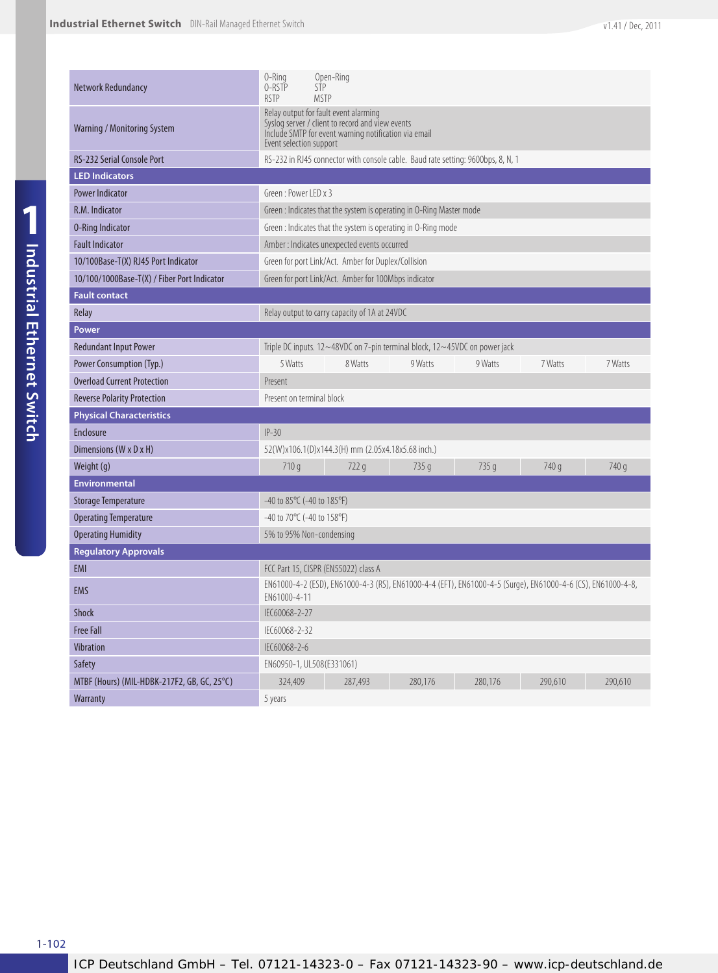| <b>Network Redundancy</b>                   | 0-Ring<br>Open-Ring<br>O-RSTP<br><b>STP</b><br><b>RSTP</b><br><b>MSTP</b>                                                                                                     |  |  |  |  |  |  |
|---------------------------------------------|-------------------------------------------------------------------------------------------------------------------------------------------------------------------------------|--|--|--|--|--|--|
| Warning / Monitoring System                 | Relay output for fault event alarming<br>Syslog server / client to record and view events<br>Include SMTP for event warning notification via email<br>Event selection support |  |  |  |  |  |  |
| <b>RS-232 Serial Console Port</b>           | RS-232 in RJ45 connector with console cable. Baud rate setting: 9600bps, 8, N, 1                                                                                              |  |  |  |  |  |  |
| <b>LED Indicators</b>                       |                                                                                                                                                                               |  |  |  |  |  |  |
| <b>Power Indicator</b>                      | Green: Power LED x 3                                                                                                                                                          |  |  |  |  |  |  |
| R.M. Indicator                              | Green : Indicates that the system is operating in O-Ring Master mode                                                                                                          |  |  |  |  |  |  |
| <b>0-Ring Indicator</b>                     | Green : Indicates that the system is operating in O-Ring mode                                                                                                                 |  |  |  |  |  |  |
| <b>Fault Indicator</b>                      | Amber : Indicates unexpected events occurred                                                                                                                                  |  |  |  |  |  |  |
| 10/100Base-T(X) RJ45 Port Indicator         | Green for port Link/Act. Amber for Duplex/Collision                                                                                                                           |  |  |  |  |  |  |
| 10/100/1000Base-T(X) / Fiber Port Indicator | Green for port Link/Act. Amber for 100Mbps indicator                                                                                                                          |  |  |  |  |  |  |
| <b>Fault contact</b>                        |                                                                                                                                                                               |  |  |  |  |  |  |
| Relay                                       | Relay output to carry capacity of 1A at 24VDC                                                                                                                                 |  |  |  |  |  |  |
| Power                                       |                                                                                                                                                                               |  |  |  |  |  |  |
| <b>Redundant Input Power</b>                | Triple DC inputs. 12~48VDC on 7-pin terminal block, 12~45VDC on power jack                                                                                                    |  |  |  |  |  |  |
| Power Consumption (Typ.)                    | 5 Watts<br>8 Watts<br>9 Watts<br>9 Watts<br>7 Watts<br>7 Watts                                                                                                                |  |  |  |  |  |  |
| <b>Overload Current Protection</b>          | Present                                                                                                                                                                       |  |  |  |  |  |  |
| <b>Reverse Polarity Protection</b>          | Present on terminal block                                                                                                                                                     |  |  |  |  |  |  |
| <b>Physical Characteristics</b>             |                                                                                                                                                                               |  |  |  |  |  |  |
| Enclosure                                   | $IP-30$                                                                                                                                                                       |  |  |  |  |  |  |
| Dimensions (W x D x H)                      | 52(W)x106.1(D)x144.3(H) mm (2.05x4.18x5.68 inch.)                                                                                                                             |  |  |  |  |  |  |
| Weight (g)                                  | 740 g<br>710q<br>722q<br>735 g<br>735 g<br>740 g                                                                                                                              |  |  |  |  |  |  |
| <b>Environmental</b>                        |                                                                                                                                                                               |  |  |  |  |  |  |
| <b>Storage Temperature</b>                  | $-40$ to 85°C ( $-40$ to 185°F)                                                                                                                                               |  |  |  |  |  |  |
| <b>Operating Temperature</b>                | -40 to 70°C (-40 to 158°F)                                                                                                                                                    |  |  |  |  |  |  |
| <b>Operating Humidity</b>                   | 5% to 95% Non-condensing                                                                                                                                                      |  |  |  |  |  |  |
| <b>Regulatory Approvals</b>                 |                                                                                                                                                                               |  |  |  |  |  |  |
| EMI                                         | FCC Part 15, CISPR (EN55022) class A                                                                                                                                          |  |  |  |  |  |  |
| EMS                                         | EN61000-4-2 (ESD), EN61000-4-3 (RS), EN61000-4-4 (EFT), EN61000-4-5 (Surge), EN61000-4-6 (CS), EN61000-4-8,<br>FN61000-4-11                                                   |  |  |  |  |  |  |
| Shock                                       | IEC60068-2-27                                                                                                                                                                 |  |  |  |  |  |  |
| <b>Free Fall</b>                            | IEC60068-2-32                                                                                                                                                                 |  |  |  |  |  |  |
| Vibration                                   | IEC60068-2-6                                                                                                                                                                  |  |  |  |  |  |  |
| Safety                                      | EN60950-1, UL508(E331061)                                                                                                                                                     |  |  |  |  |  |  |
| MTBF (Hours) (MIL-HDBK-217F2, GB, GC, 25°C) | 324,409<br>290,610<br>287,493<br>280,176<br>280,176<br>290,610                                                                                                                |  |  |  |  |  |  |
| Warranty                                    | 5 years                                                                                                                                                                       |  |  |  |  |  |  |